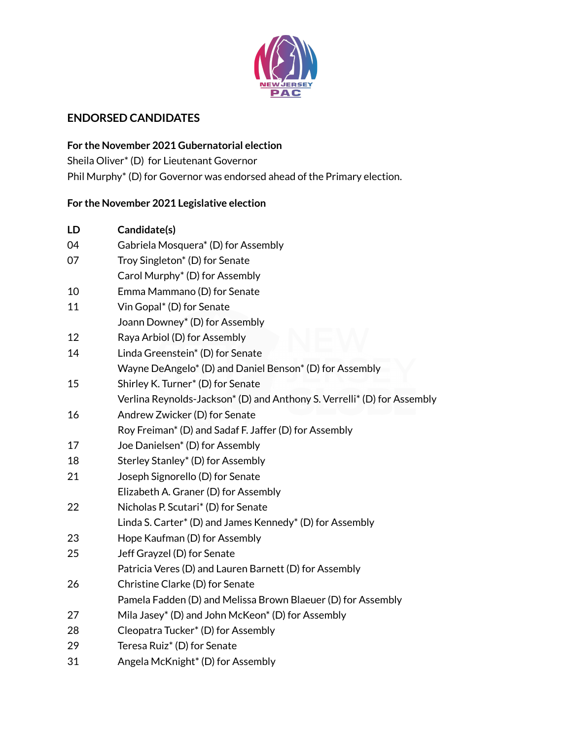

## **ENDORSED CANDIDATES**

**For the November 2021 Gubernatorial election** Sheila Oliver\* (D) for Lieutenant Governor Phil Murphy\* (D) for Governor was endorsed ahead of the Primary election.

## **For the November 2021 Legislative election**

| LD | Candidate(s)                                                            |
|----|-------------------------------------------------------------------------|
| 04 | Gabriela Mosquera* (D) for Assembly                                     |
| 07 | Troy Singleton <sup>*</sup> (D) for Senate                              |
|    | Carol Murphy <sup>*</sup> (D) for Assembly                              |
| 10 | Emma Mammano (D) for Senate                                             |
| 11 | Vin Gopal* (D) for Senate                                               |
|    | Joann Downey* (D) for Assembly                                          |
| 12 | Raya Arbiol (D) for Assembly                                            |
| 14 | Linda Greenstein <sup>*</sup> (D) for Senate                            |
|    | Wayne DeAngelo* (D) and Daniel Benson* (D) for Assembly                 |
| 15 | Shirley K. Turner* (D) for Senate                                       |
|    | Verlina Reynolds-Jackson* (D) and Anthony S. Verrelli* (D) for Assembly |
| 16 | Andrew Zwicker (D) for Senate                                           |
|    | Roy Freiman* (D) and Sadaf F. Jaffer (D) for Assembly                   |
| 17 | Joe Danielsen <sup>*</sup> (D) for Assembly                             |
| 18 | Sterley Stanley* (D) for Assembly                                       |
| 21 | Joseph Signorello (D) for Senate                                        |
|    | Elizabeth A. Graner (D) for Assembly                                    |
| 22 | Nicholas P. Scutari* (D) for Senate                                     |
|    | Linda S. Carter* (D) and James Kennedy* (D) for Assembly                |
| 23 | Hope Kaufman (D) for Assembly                                           |
| 25 | Jeff Grayzel (D) for Senate                                             |
|    | Patricia Veres (D) and Lauren Barnett (D) for Assembly                  |
| 26 | Christine Clarke (D) for Senate                                         |
|    | Pamela Fadden (D) and Melissa Brown Blaeuer (D) for Assembly            |
| 27 | Mila Jasey* (D) and John McKeon* (D) for Assembly                       |
| 28 | Cleopatra Tucker* (D) for Assembly                                      |
| 29 | Teresa Ruiz <sup>*</sup> (D) for Senate                                 |
| 31 | Angela McKnight* (D) for Assembly                                       |